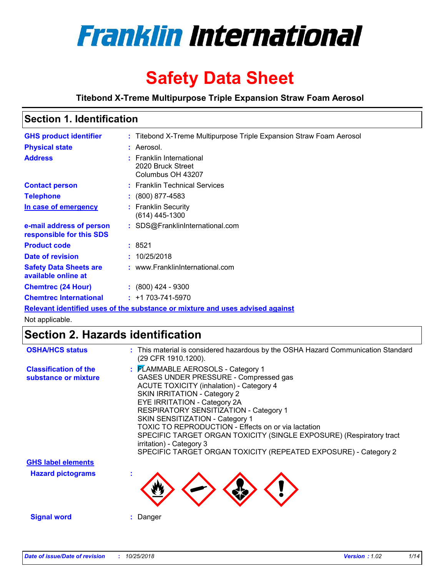

# **Safety Data Sheet**

**Titebond X-Treme Multipurpose Triple Expansion Straw Foam Aerosol**

# **Section 1. Identification**

| <b>GHS product identifier</b>                        | : Titebond X-Treme Multipurpose Triple Expansion Straw Foam Aerosol           |
|------------------------------------------------------|-------------------------------------------------------------------------------|
| <b>Physical state</b>                                | : Aerosol.                                                                    |
| <b>Address</b>                                       | : Franklin International<br>2020 Bruck Street<br>Columbus OH 43207            |
| <b>Contact person</b>                                | : Franklin Technical Services                                                 |
| <b>Telephone</b>                                     | $\div$ (800) 877-4583                                                         |
| In case of emergency                                 | : Franklin Security<br>(614) 445-1300                                         |
| e-mail address of person<br>responsible for this SDS | : SDS@FranklinInternational.com                                               |
| <b>Product code</b>                                  | : 8521                                                                        |
| Date of revision                                     | : 10/25/2018                                                                  |
| <b>Safety Data Sheets are</b><br>available online at | : www.FranklinInternational.com                                               |
| <b>Chemtrec (24 Hour)</b>                            | $\cdot$ (800) 424 - 9300                                                      |
| <b>Chemtrec International</b>                        | $: +1703 - 741 - 5970$                                                        |
|                                                      | Relevant identified uses of the substance or mixture and uses advised against |

Not applicable.

## **Section 2. Hazards identification**

| <b>OSHA/HCS status</b>                               | : This material is considered hazardous by the OSHA Hazard Communication Standard<br>(29 CFR 1910.1200).                                                                                                                                                                                                                                                                                                                                                                                                       |
|------------------------------------------------------|----------------------------------------------------------------------------------------------------------------------------------------------------------------------------------------------------------------------------------------------------------------------------------------------------------------------------------------------------------------------------------------------------------------------------------------------------------------------------------------------------------------|
| <b>Classification of the</b><br>substance or mixture | : FLAMMABLE AEROSOLS - Category 1<br>GASES UNDER PRESSURE - Compressed gas<br><b>ACUTE TOXICITY (inhalation) - Category 4</b><br><b>SKIN IRRITATION - Category 2</b><br>EYE IRRITATION - Category 2A<br>RESPIRATORY SENSITIZATION - Category 1<br>SKIN SENSITIZATION - Category 1<br>TOXIC TO REPRODUCTION - Effects on or via lactation<br>SPECIFIC TARGET ORGAN TOXICITY (SINGLE EXPOSURE) (Respiratory tract<br>irritation) - Category 3<br>SPECIFIC TARGET ORGAN TOXICITY (REPEATED EXPOSURE) - Category 2 |
| <b>GHS label elements</b>                            |                                                                                                                                                                                                                                                                                                                                                                                                                                                                                                                |
| <b>Hazard pictograms</b>                             |                                                                                                                                                                                                                                                                                                                                                                                                                                                                                                                |
| <b>Signal word</b>                                   | : Danger                                                                                                                                                                                                                                                                                                                                                                                                                                                                                                       |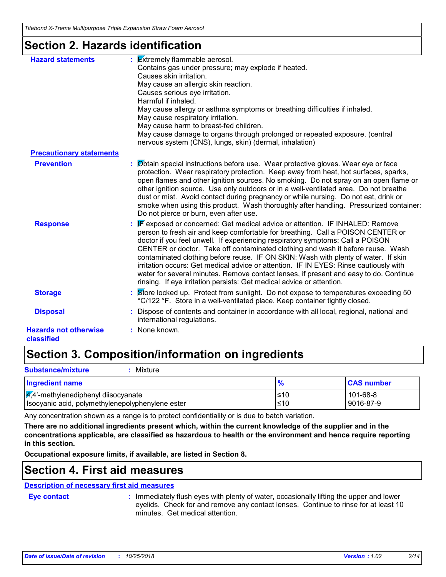### **Section 2. Hazards identification**

| <b>Hazard statements</b>                   | $\frac{1}{2}$ <b>Extremely flammable aerosol.</b><br>Contains gas under pressure; may explode if heated.<br>Causes skin irritation.<br>May cause an allergic skin reaction.<br>Causes serious eye irritation.<br>Harmful if inhaled.<br>May cause allergy or asthma symptoms or breathing difficulties if inhaled.<br>May cause respiratory irritation.<br>May cause harm to breast-fed children.<br>May cause damage to organs through prolonged or repeated exposure. (central<br>nervous system (CNS), lungs, skin) (dermal, inhalation)                                                                                                                                                 |
|--------------------------------------------|---------------------------------------------------------------------------------------------------------------------------------------------------------------------------------------------------------------------------------------------------------------------------------------------------------------------------------------------------------------------------------------------------------------------------------------------------------------------------------------------------------------------------------------------------------------------------------------------------------------------------------------------------------------------------------------------|
| <b>Precautionary statements</b>            |                                                                                                                                                                                                                                                                                                                                                                                                                                                                                                                                                                                                                                                                                             |
| <b>Prevention</b>                          | : Øbtain special instructions before use. Wear protective gloves. Wear eye or face<br>protection. Wear respiratory protection. Keep away from heat, hot surfaces, sparks,<br>open flames and other ignition sources. No smoking. Do not spray on an open flame or<br>other ignition source. Use only outdoors or in a well-ventilated area. Do not breathe<br>dust or mist. Avoid contact during pregnancy or while nursing. Do not eat, drink or<br>smoke when using this product. Wash thoroughly after handling. Pressurized container:<br>Do not pierce or burn, even after use.                                                                                                        |
| <b>Response</b>                            | <b>F</b> exposed or concerned: Get medical advice or attention. IF INHALED: Remove<br>person to fresh air and keep comfortable for breathing. Call a POISON CENTER or<br>doctor if you feel unwell. If experiencing respiratory symptoms: Call a POISON<br>CENTER or doctor. Take off contaminated clothing and wash it before reuse. Wash<br>contaminated clothing before reuse. IF ON SKIN: Wash with plenty of water. If skin<br>irritation occurs: Get medical advice or attention. IF IN EYES: Rinse cautiously with<br>water for several minutes. Remove contact lenses, if present and easy to do. Continue<br>rinsing. If eye irritation persists: Get medical advice or attention. |
| <b>Storage</b>                             | : Store locked up. Protect from sunlight. Do not expose to temperatures exceeding 50<br>°C/122 °F. Store in a well-ventilated place. Keep container tightly closed.                                                                                                                                                                                                                                                                                                                                                                                                                                                                                                                         |
| <b>Disposal</b>                            | Dispose of contents and container in accordance with all local, regional, national and<br>international regulations.                                                                                                                                                                                                                                                                                                                                                                                                                                                                                                                                                                        |
| <b>Hazards not otherwise</b><br>classified | : None known.                                                                                                                                                                                                                                                                                                                                                                                                                                                                                                                                                                                                                                                                               |

# **Section 3. Composition/information on ingredients**

| <b>Substance/mixture</b><br>Mixture                                                                  |               |                       |
|------------------------------------------------------------------------------------------------------|---------------|-----------------------|
| <b>Ingredient name</b>                                                                               | $\frac{9}{6}$ | <b>CAS number</b>     |
| $\frac{1}{4}$ ,4'-methylenediphenyl diisocyanate<br>Isocyanic acid, polymethylenepolyphenylene ester | l≤10<br>≤10   | 101-68-8<br>9016-87-9 |

Any concentration shown as a range is to protect confidentiality or is due to batch variation.

**There are no additional ingredients present which, within the current knowledge of the supplier and in the concentrations applicable, are classified as hazardous to health or the environment and hence require reporting in this section.**

**Occupational exposure limits, if available, are listed in Section 8.**

### **Section 4. First aid measures**

### **Description of necessary first aid measures**

**Eye contact :**

: Immediately flush eyes with plenty of water, occasionally lifting the upper and lower eyelids. Check for and remove any contact lenses. Continue to rinse for at least 10 minutes. Get medical attention.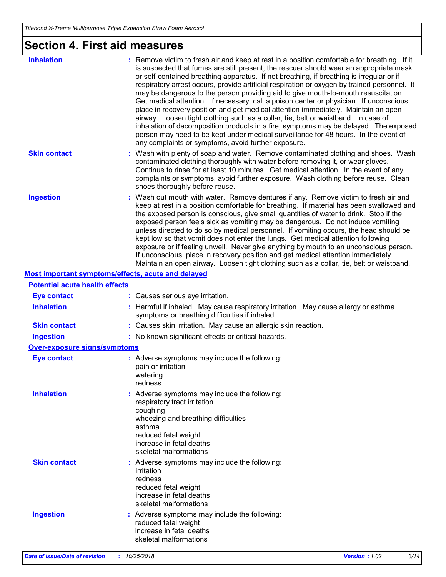# **Section 4. First aid measures**

| <b>Inhalation</b>                                  | : Remove victim to fresh air and keep at rest in a position comfortable for breathing. If it<br>is suspected that fumes are still present, the rescuer should wear an appropriate mask<br>or self-contained breathing apparatus. If not breathing, if breathing is irregular or if<br>respiratory arrest occurs, provide artificial respiration or oxygen by trained personnel. It<br>may be dangerous to the person providing aid to give mouth-to-mouth resuscitation.<br>Get medical attention. If necessary, call a poison center or physician. If unconscious,<br>place in recovery position and get medical attention immediately. Maintain an open<br>airway. Loosen tight clothing such as a collar, tie, belt or waistband. In case of<br>inhalation of decomposition products in a fire, symptoms may be delayed. The exposed<br>person may need to be kept under medical surveillance for 48 hours. In the event of<br>any complaints or symptoms, avoid further exposure. |
|----------------------------------------------------|---------------------------------------------------------------------------------------------------------------------------------------------------------------------------------------------------------------------------------------------------------------------------------------------------------------------------------------------------------------------------------------------------------------------------------------------------------------------------------------------------------------------------------------------------------------------------------------------------------------------------------------------------------------------------------------------------------------------------------------------------------------------------------------------------------------------------------------------------------------------------------------------------------------------------------------------------------------------------------------|
| <b>Skin contact</b>                                | : Wash with plenty of soap and water. Remove contaminated clothing and shoes. Wash<br>contaminated clothing thoroughly with water before removing it, or wear gloves.<br>Continue to rinse for at least 10 minutes. Get medical attention. In the event of any<br>complaints or symptoms, avoid further exposure. Wash clothing before reuse. Clean<br>shoes thoroughly before reuse.                                                                                                                                                                                                                                                                                                                                                                                                                                                                                                                                                                                                 |
| <b>Ingestion</b>                                   | : Wash out mouth with water. Remove dentures if any. Remove victim to fresh air and<br>keep at rest in a position comfortable for breathing. If material has been swallowed and<br>the exposed person is conscious, give small quantities of water to drink. Stop if the<br>exposed person feels sick as vomiting may be dangerous. Do not induce vomiting<br>unless directed to do so by medical personnel. If vomiting occurs, the head should be<br>kept low so that vomit does not enter the lungs. Get medical attention following<br>exposure or if feeling unwell. Never give anything by mouth to an unconscious person.<br>If unconscious, place in recovery position and get medical attention immediately.<br>Maintain an open airway. Loosen tight clothing such as a collar, tie, belt or waistband.                                                                                                                                                                     |
| Most important symptoms/effects, acute and delayed |                                                                                                                                                                                                                                                                                                                                                                                                                                                                                                                                                                                                                                                                                                                                                                                                                                                                                                                                                                                       |
| <b>Potential acute health effects</b>              |                                                                                                                                                                                                                                                                                                                                                                                                                                                                                                                                                                                                                                                                                                                                                                                                                                                                                                                                                                                       |
| <b>Eye contact</b>                                 | : Causes serious eye irritation.                                                                                                                                                                                                                                                                                                                                                                                                                                                                                                                                                                                                                                                                                                                                                                                                                                                                                                                                                      |
| <b>Inhalation</b>                                  | : Harmful if inhaled. May cause respiratory irritation. May cause allergy or asthma<br>symptoms or breathing difficulties if inhaled.                                                                                                                                                                                                                                                                                                                                                                                                                                                                                                                                                                                                                                                                                                                                                                                                                                                 |
| <b>Skin contact</b>                                | : Causes skin irritation. May cause an allergic skin reaction.                                                                                                                                                                                                                                                                                                                                                                                                                                                                                                                                                                                                                                                                                                                                                                                                                                                                                                                        |
| <b>Ingestion</b>                                   | : No known significant effects or critical hazards.                                                                                                                                                                                                                                                                                                                                                                                                                                                                                                                                                                                                                                                                                                                                                                                                                                                                                                                                   |
| <b>Over-exposure signs/symptoms</b>                |                                                                                                                                                                                                                                                                                                                                                                                                                                                                                                                                                                                                                                                                                                                                                                                                                                                                                                                                                                                       |
| <b>Eye contact</b>                                 | : Adverse symptoms may include the following:<br>pain or irritation<br>watering<br>redness                                                                                                                                                                                                                                                                                                                                                                                                                                                                                                                                                                                                                                                                                                                                                                                                                                                                                            |
| <b>Inhalation</b>                                  | : Adverse symptoms may include the following:<br>respiratory tract irritation<br>coughing<br>wheezing and breathing difficulties<br>asthma<br>reduced fetal weight<br>increase in fetal deaths<br>skeletal malformations                                                                                                                                                                                                                                                                                                                                                                                                                                                                                                                                                                                                                                                                                                                                                              |
| <b>Skin contact</b>                                | : Adverse symptoms may include the following:<br>irritation<br>redness<br>reduced fetal weight<br>increase in fetal deaths<br>skeletal malformations                                                                                                                                                                                                                                                                                                                                                                                                                                                                                                                                                                                                                                                                                                                                                                                                                                  |
| <b>Ingestion</b>                                   | : Adverse symptoms may include the following:<br>reduced fetal weight<br>increase in fetal deaths<br>skeletal malformations                                                                                                                                                                                                                                                                                                                                                                                                                                                                                                                                                                                                                                                                                                                                                                                                                                                           |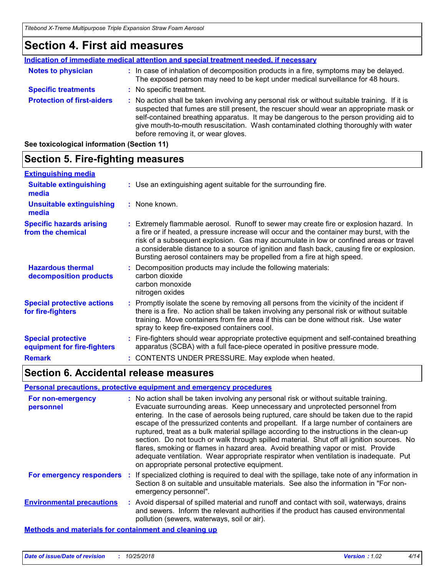### **Section 4. First aid measures**

|                                   | Indication of immediate medical attention and special treatment needed, if necessary                                                                                                                                                                                                                                                                                                                            |
|-----------------------------------|-----------------------------------------------------------------------------------------------------------------------------------------------------------------------------------------------------------------------------------------------------------------------------------------------------------------------------------------------------------------------------------------------------------------|
| <b>Notes to physician</b>         | : In case of inhalation of decomposition products in a fire, symptoms may be delayed.<br>The exposed person may need to be kept under medical surveillance for 48 hours.                                                                                                                                                                                                                                        |
| <b>Specific treatments</b>        | : No specific treatment.                                                                                                                                                                                                                                                                                                                                                                                        |
| <b>Protection of first-aiders</b> | : No action shall be taken involving any personal risk or without suitable training. If it is<br>suspected that fumes are still present, the rescuer should wear an appropriate mask or<br>self-contained breathing apparatus. It may be dangerous to the person providing aid to<br>give mouth-to-mouth resuscitation. Wash contaminated clothing thoroughly with water<br>before removing it, or wear gloves. |

**See toxicological information (Section 11)**

**decomposition products**

**Special protective actions** 

**equipment for fire-fighters**

**Special protective** 

**for fire-fighters**

#### **Section 5. Fire-fighting measures Hazardous thermal Specific hazards arising from the chemical** Decomposition products may include the following materials: **:** Extremely flammable aerosol. Runoff to sewer may create fire or explosion hazard. In **:** a fire or if heated, a pressure increase will occur and the container may burst, with the risk of a subsequent explosion. Gas may accumulate in low or confined areas or travel a considerable distance to a source of ignition and flash back, causing fire or explosion. Bursting aerosol containers may be propelled from a fire at high speed. Use an extinguishing agent suitable for the surrounding fire. **: Extinguishing media :** None known. **Suitable extinguishing media Unsuitable extinguishing media**

spray to keep fire-exposed containers cool.

# **Remark :** CONTENTS UNDER PRESSURE. May explode when heated.

### **Section 6. Accidental release measures**

#### **Personal precautions, protective equipment and emergency procedures**

carbon dioxide carbon monoxide nitrogen oxides

| For non-emergency<br>personnel                               | : No action shall be taken involving any personal risk or without suitable training.<br>Evacuate surrounding areas. Keep unnecessary and unprotected personnel from<br>entering. In the case of aerosols being ruptured, care should be taken due to the rapid<br>escape of the pressurized contents and propellant. If a large number of containers are<br>ruptured, treat as a bulk material spillage according to the instructions in the clean-up<br>section. Do not touch or walk through spilled material. Shut off all ignition sources. No<br>flares, smoking or flames in hazard area. Avoid breathing vapor or mist. Provide<br>adequate ventilation. Wear appropriate respirator when ventilation is inadequate. Put<br>on appropriate personal protective equipment. |
|--------------------------------------------------------------|----------------------------------------------------------------------------------------------------------------------------------------------------------------------------------------------------------------------------------------------------------------------------------------------------------------------------------------------------------------------------------------------------------------------------------------------------------------------------------------------------------------------------------------------------------------------------------------------------------------------------------------------------------------------------------------------------------------------------------------------------------------------------------|
| For emergency responders                                     | : If specialized clothing is required to deal with the spillage, take note of any information in<br>Section 8 on suitable and unsuitable materials. See also the information in "For non-<br>emergency personnel".                                                                                                                                                                                                                                                                                                                                                                                                                                                                                                                                                               |
| <b>Environmental precautions</b>                             | : Avoid dispersal of spilled material and runoff and contact with soil, waterways, drains<br>and sewers. Inform the relevant authorities if the product has caused environmental<br>pollution (sewers, waterways, soil or air).                                                                                                                                                                                                                                                                                                                                                                                                                                                                                                                                                  |
| <b>Methods and materials for containment and cleaning up</b> |                                                                                                                                                                                                                                                                                                                                                                                                                                                                                                                                                                                                                                                                                                                                                                                  |

**:** Promptly isolate the scene by removing all persons from the vicinity of the incident if there is a fire. No action shall be taken involving any personal risk or without suitable training. Move containers from fire area if this can be done without risk. Use water

Fire-fighters should wear appropriate protective equipment and self-contained breathing **:**

apparatus (SCBA) with a full face-piece operated in positive pressure mode.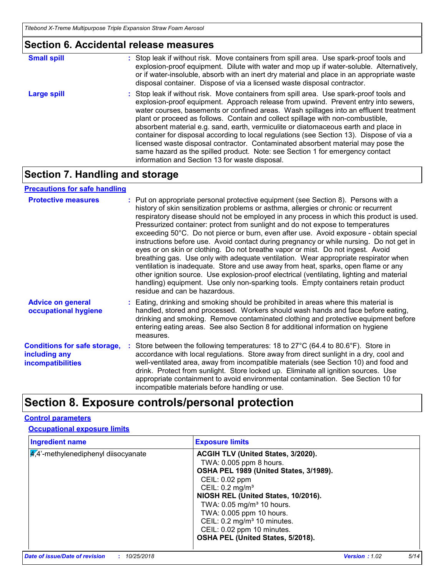|                    | <b>Section 6. Accidental release measures</b>                                                                                                                                                                                                                                                                                                                                                                                                                                                                                                                                                                                                                                                                                                                        |
|--------------------|----------------------------------------------------------------------------------------------------------------------------------------------------------------------------------------------------------------------------------------------------------------------------------------------------------------------------------------------------------------------------------------------------------------------------------------------------------------------------------------------------------------------------------------------------------------------------------------------------------------------------------------------------------------------------------------------------------------------------------------------------------------------|
| <b>Small spill</b> | : Stop leak if without risk. Move containers from spill area. Use spark-proof tools and<br>explosion-proof equipment. Dilute with water and mop up if water-soluble. Alternatively,<br>or if water-insoluble, absorb with an inert dry material and place in an appropriate waste<br>disposal container. Dispose of via a licensed waste disposal contractor.                                                                                                                                                                                                                                                                                                                                                                                                        |
| <b>Large spill</b> | : Stop leak if without risk. Move containers from spill area. Use spark-proof tools and<br>explosion-proof equipment. Approach release from upwind. Prevent entry into sewers,<br>water courses, basements or confined areas. Wash spillages into an effluent treatment<br>plant or proceed as follows. Contain and collect spillage with non-combustible,<br>absorbent material e.g. sand, earth, vermiculite or diatomaceous earth and place in<br>container for disposal according to local regulations (see Section 13). Dispose of via a<br>licensed waste disposal contractor. Contaminated absorbent material may pose the<br>same hazard as the spilled product. Note: see Section 1 for emergency contact<br>information and Section 13 for waste disposal. |

## **Section 7. Handling and storage**

### **Precautions for safe handling**

| <b>Protective measures</b>                                                       | : Put on appropriate personal protective equipment (see Section 8). Persons with a<br>history of skin sensitization problems or asthma, allergies or chronic or recurrent<br>respiratory disease should not be employed in any process in which this product is used.<br>Pressurized container: protect from sunlight and do not expose to temperatures<br>exceeding 50°C. Do not pierce or burn, even after use. Avoid exposure - obtain special<br>instructions before use. Avoid contact during pregnancy or while nursing. Do not get in<br>eyes or on skin or clothing. Do not breathe vapor or mist. Do not ingest. Avoid<br>breathing gas. Use only with adequate ventilation. Wear appropriate respirator when<br>ventilation is inadequate. Store and use away from heat, sparks, open flame or any<br>other ignition source. Use explosion-proof electrical (ventilating, lighting and material<br>handling) equipment. Use only non-sparking tools. Empty containers retain product<br>residue and can be hazardous. |
|----------------------------------------------------------------------------------|---------------------------------------------------------------------------------------------------------------------------------------------------------------------------------------------------------------------------------------------------------------------------------------------------------------------------------------------------------------------------------------------------------------------------------------------------------------------------------------------------------------------------------------------------------------------------------------------------------------------------------------------------------------------------------------------------------------------------------------------------------------------------------------------------------------------------------------------------------------------------------------------------------------------------------------------------------------------------------------------------------------------------------|
| <b>Advice on general</b><br>occupational hygiene                                 | : Eating, drinking and smoking should be prohibited in areas where this material is<br>handled, stored and processed. Workers should wash hands and face before eating,<br>drinking and smoking. Remove contaminated clothing and protective equipment before<br>entering eating areas. See also Section 8 for additional information on hygiene<br>measures.                                                                                                                                                                                                                                                                                                                                                                                                                                                                                                                                                                                                                                                                   |
| <b>Conditions for safe storage,</b><br>including any<br><b>incompatibilities</b> | : Store between the following temperatures: 18 to 27°C (64.4 to 80.6°F). Store in<br>accordance with local regulations. Store away from direct sunlight in a dry, cool and<br>well-ventilated area, away from incompatible materials (see Section 10) and food and<br>drink. Protect from sunlight. Store locked up. Eliminate all ignition sources. Use<br>appropriate containment to avoid environmental contamination. See Section 10 for<br>incompatible materials before handling or use.                                                                                                                                                                                                                                                                                                                                                                                                                                                                                                                                  |

# **Section 8. Exposure controls/personal protection**

### **Control parameters**

### **Occupational exposure limits**

| <b>Ingredient name</b>                 | <b>Exposure limits</b>                                                                                                                                                                                                                                                                                                                                                             |
|----------------------------------------|------------------------------------------------------------------------------------------------------------------------------------------------------------------------------------------------------------------------------------------------------------------------------------------------------------------------------------------------------------------------------------|
| $4.4$ '-methylenediphenyl diisocyanate | ACGIH TLV (United States, 3/2020).<br>TWA: 0.005 ppm 8 hours.<br>OSHA PEL 1989 (United States, 3/1989).<br>CEIL: 0.02 ppm<br>CEIL: 0.2 mg/m <sup>3</sup><br>NIOSH REL (United States, 10/2016).<br>TWA: 0.05 mg/m <sup>3</sup> 10 hours.<br>TWA: 0.005 ppm 10 hours.<br>CEIL: 0.2 mg/m <sup>3</sup> 10 minutes.<br>CEIL: 0.02 ppm 10 minutes.<br>OSHA PEL (United States, 5/2018). |
|                                        |                                                                                                                                                                                                                                                                                                                                                                                    |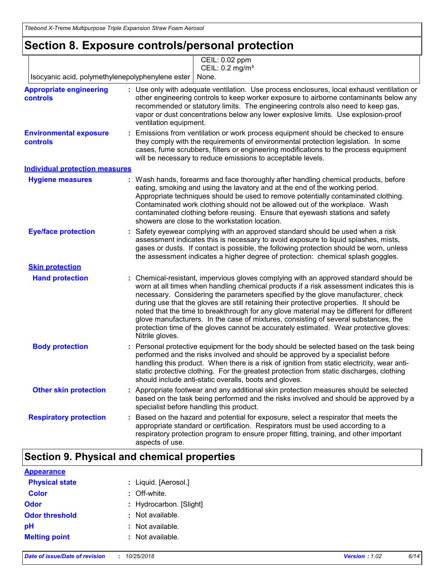## **Section 8. Exposure controls/personal protection**

|                                                   | CEIL: 0.02 ppm<br>CEIL: 0.2 mg/m <sup>3</sup>                                                                                                                                                                                                                                                                                                                                                                                                                                                                                                                                                                                                                     |
|---------------------------------------------------|-------------------------------------------------------------------------------------------------------------------------------------------------------------------------------------------------------------------------------------------------------------------------------------------------------------------------------------------------------------------------------------------------------------------------------------------------------------------------------------------------------------------------------------------------------------------------------------------------------------------------------------------------------------------|
| Isocyanic acid, polymethylenepolyphenylene ester  | None.                                                                                                                                                                                                                                                                                                                                                                                                                                                                                                                                                                                                                                                             |
| <b>Appropriate engineering</b><br><b>controls</b> | : Use only with adequate ventilation. Use process enclosures, local exhaust ventilation or<br>other engineering controls to keep worker exposure to airborne contaminants below any<br>recommended or statutory limits. The engineering controls also need to keep gas,<br>vapor or dust concentrations below any lower explosive limits. Use explosion-proof<br>ventilation equipment.                                                                                                                                                                                                                                                                           |
| <b>Environmental exposure</b><br><b>controls</b>  | Emissions from ventilation or work process equipment should be checked to ensure<br>they comply with the requirements of environmental protection legislation. In some<br>cases, fume scrubbers, filters or engineering modifications to the process equipment<br>will be necessary to reduce emissions to acceptable levels.                                                                                                                                                                                                                                                                                                                                     |
| <b>Individual protection measures</b>             |                                                                                                                                                                                                                                                                                                                                                                                                                                                                                                                                                                                                                                                                   |
| <b>Hygiene measures</b>                           | : Wash hands, forearms and face thoroughly after handling chemical products, before<br>eating, smoking and using the lavatory and at the end of the working period.<br>Appropriate techniques should be used to remove potentially contaminated clothing.<br>Contaminated work clothing should not be allowed out of the workplace. Wash<br>contaminated clothing before reusing. Ensure that eyewash stations and safety<br>showers are close to the workstation location.                                                                                                                                                                                       |
| <b>Eye/face protection</b>                        | Safety eyewear complying with an approved standard should be used when a risk<br>assessment indicates this is necessary to avoid exposure to liquid splashes, mists,<br>gases or dusts. If contact is possible, the following protection should be worn, unless<br>the assessment indicates a higher degree of protection: chemical splash goggles.                                                                                                                                                                                                                                                                                                               |
| <b>Skin protection</b>                            |                                                                                                                                                                                                                                                                                                                                                                                                                                                                                                                                                                                                                                                                   |
| <b>Hand protection</b>                            | : Chemical-resistant, impervious gloves complying with an approved standard should be<br>worn at all times when handling chemical products if a risk assessment indicates this is<br>necessary. Considering the parameters specified by the glove manufacturer, check<br>during use that the gloves are still retaining their protective properties. It should be<br>noted that the time to breakthrough for any glove material may be different for different<br>glove manufacturers. In the case of mixtures, consisting of several substances, the<br>protection time of the gloves cannot be accurately estimated. Wear protective gloves:<br>Nitrile gloves. |
| <b>Body protection</b>                            | Personal protective equipment for the body should be selected based on the task being<br>÷.<br>performed and the risks involved and should be approved by a specialist before<br>handling this product. When there is a risk of ignition from static electricity, wear anti-<br>static protective clothing. For the greatest protection from static discharges, clothing<br>should include anti-static overalls, boots and gloves.                                                                                                                                                                                                                                |
| <b>Other skin protection</b>                      | : Appropriate footwear and any additional skin protection measures should be selected<br>based on the task being performed and the risks involved and should be approved by a<br>specialist before handling this product.                                                                                                                                                                                                                                                                                                                                                                                                                                         |
| <b>Respiratory protection</b>                     | Based on the hazard and potential for exposure, select a respirator that meets the<br>appropriate standard or certification. Respirators must be used according to a<br>respiratory protection program to ensure proper fitting, training, and other important<br>aspects of use.                                                                                                                                                                                                                                                                                                                                                                                 |

### **Section 9. Physical and chemical properties**

| <b>Appearance</b>     |                         |
|-----------------------|-------------------------|
| <b>Physical state</b> | : Liquid. [Aerosol.]    |
| <b>Color</b>          | : Off-white.            |
| <b>Odor</b>           | : Hydrocarbon. [Slight] |
| <b>Odor threshold</b> | : Not available.        |
| pH                    | : Not available.        |
| <b>Melting point</b>  | : Not available.        |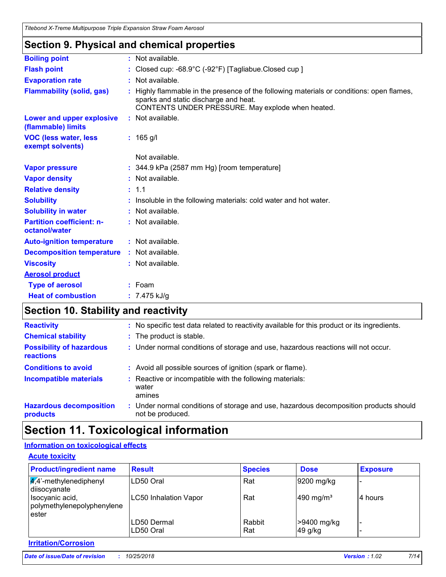### **Section 9. Physical and chemical properties**

| <b>Boiling point</b>                              | : Not available.                                                                                                                                                                      |
|---------------------------------------------------|---------------------------------------------------------------------------------------------------------------------------------------------------------------------------------------|
| <b>Flash point</b>                                | : Closed cup: $-68.9^{\circ}$ C ( $-92^{\circ}$ F) [Tagliabue.Closed cup ]                                                                                                            |
| <b>Evaporation rate</b>                           | : Not available.                                                                                                                                                                      |
| <b>Flammability (solid, gas)</b>                  | Highly flammable in the presence of the following materials or conditions: open flames,<br>sparks and static discharge and heat.<br>CONTENTS UNDER PRESSURE. May explode when heated. |
| Lower and upper explosive<br>(flammable) limits   | : Not available.                                                                                                                                                                      |
| <b>VOC (less water, less)</b><br>exempt solvents) | $: 165$ g/l                                                                                                                                                                           |
|                                                   | Not available.                                                                                                                                                                        |
| <b>Vapor pressure</b>                             | $: 344.9$ kPa (2587 mm Hg) [room temperature]                                                                                                                                         |
| <b>Vapor density</b>                              | : Not available.                                                                                                                                                                      |
| <b>Relative density</b>                           | : 1.1                                                                                                                                                                                 |
| <b>Solubility</b>                                 | Insoluble in the following materials: cold water and hot water.                                                                                                                       |
| <b>Solubility in water</b>                        | : Not available.                                                                                                                                                                      |
| <b>Partition coefficient: n-</b><br>octanol/water | : Not available.                                                                                                                                                                      |
| <b>Auto-ignition temperature</b>                  | : Not available.                                                                                                                                                                      |
| <b>Decomposition temperature</b>                  | : Not available.                                                                                                                                                                      |
| <b>Viscosity</b>                                  | : Not available.                                                                                                                                                                      |
| <b>Aerosol product</b>                            |                                                                                                                                                                                       |
| <b>Type of aerosol</b>                            | $:$ Foam                                                                                                                                                                              |
| <b>Heat of combustion</b>                         | : $7.475$ kJ/g                                                                                                                                                                        |
|                                                   |                                                                                                                                                                                       |

# **Section 10. Stability and reactivity**

| <b>Reactivity</b>                                   | : No specific test data related to reactivity available for this product or its ingredients.              |
|-----------------------------------------------------|-----------------------------------------------------------------------------------------------------------|
| <b>Chemical stability</b>                           | : The product is stable.                                                                                  |
| <b>Possibility of hazardous</b><br><b>reactions</b> | : Under normal conditions of storage and use, hazardous reactions will not occur.                         |
| <b>Conditions to avoid</b>                          | : Avoid all possible sources of ignition (spark or flame).                                                |
| <b>Incompatible materials</b>                       | : Reactive or incompatible with the following materials:<br>water<br>amines                               |
| <b>Hazardous decomposition</b><br>products          | : Under normal conditions of storage and use, hazardous decomposition products should<br>not be produced. |

# **Section 11. Toxicological information**

### **Information on toxicological effects**

| <b>Product/ingredient name</b>                         | <b>Result</b>                | <b>Species</b> | <b>Dose</b>             | <b>Exposure</b> |
|--------------------------------------------------------|------------------------------|----------------|-------------------------|-----------------|
| $\frac{1}{4}$ ,4'-methylenediphenyl<br>diisocyanate    | LD50 Oral                    | Rat            | 9200 mg/kg              |                 |
| Isocyanic acid,<br>polymethylenepolyphenylene<br>ester | <b>LC50 Inhalation Vapor</b> | Rat            | $490$ mg/m <sup>3</sup> | 4 hours         |
|                                                        | LD50 Dermal                  | Rabbit         | >9400 mg/kg             |                 |
|                                                        | LD50 Oral                    | Rat            | 49 g/kg                 |                 |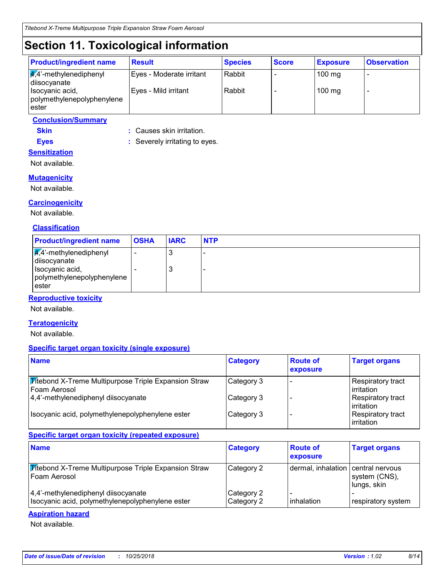# **Section 11. Toxicological information**

| <b>Product/ingredient name</b>                             | <b>Result</b>            | <b>Species</b> | <b>Score</b> | <b>Exposure</b> | <b>Observation</b> |
|------------------------------------------------------------|--------------------------|----------------|--------------|-----------------|--------------------|
| $\sqrt{4}$ <sup>2</sup> -methylenediphenyl<br>diisocyanate | Eyes - Moderate irritant | Rabbit         |              | $100$ mg        |                    |
| Isocyanic acid,<br>polymethylenepolyphenylene<br>lester    | Eyes - Mild irritant     | Rabbit         |              | $100$ mg        |                    |

### **Conclusion/Summary**

**Skin :** Causes skin irritation.

**Eyes :** Severely irritating to eyes. **Sensitization**

Not available.

### **Mutagenicity**

Not available.

### **Carcinogenicity**

Not available.

#### **Classification**

| <b>Product/ingredient name</b>                                                                                       | <b>OSHA</b> | <b>IARC</b> | <b>NTP</b> |
|----------------------------------------------------------------------------------------------------------------------|-------------|-------------|------------|
| $\sqrt{4}$ <sup>2</sup> -methylenediphenyl<br>diisocyanate<br>Isocyanic acid,<br>polymethylenepolyphenylene<br>ester |             | J<br>J      |            |

### **Reproductive toxicity**

Not available.

#### **Teratogenicity**

Not available.

#### **Specific target organ toxicity (single exposure)**

| <b>Name</b>                                                                   | <b>Category</b> | <b>Route of</b><br>exposure | <b>Target organs</b>                    |
|-------------------------------------------------------------------------------|-----------------|-----------------------------|-----------------------------------------|
| <b>Titebond X-Treme Multipurpose Triple Expansion Straw</b><br>l Foam Aerosol | Category 3      |                             | Respiratory tract<br>l irritation       |
| 4,4'-methylenediphenyl diisocyanate                                           | Category 3      |                             | Respiratory tract<br>l irritation       |
| Isocyanic acid, polymethylenepolyphenylene ester                              | Category 3      |                             | Respiratory tract<br><b>lirritation</b> |

#### **Specific target organ toxicity (repeated exposure)**

| <b>Name</b>                                                                             | <b>Category</b>          | <b>Route of</b><br>exposure        | <b>Target organs</b>         |
|-----------------------------------------------------------------------------------------|--------------------------|------------------------------------|------------------------------|
| <b>Titebond X-Treme Multipurpose Triple Expansion Straw</b><br>Foam Aerosol             | Category 2               | dermal, inhalation central nervous | system (CNS),<br>lungs, skin |
| 4,4'-methylenediphenyl diisocyanate<br>Isocyanic acid, polymethylenepolyphenylene ester | Category 2<br>Category 2 | inhalation                         | respiratory system           |

#### **Aspiration hazard**

Not available.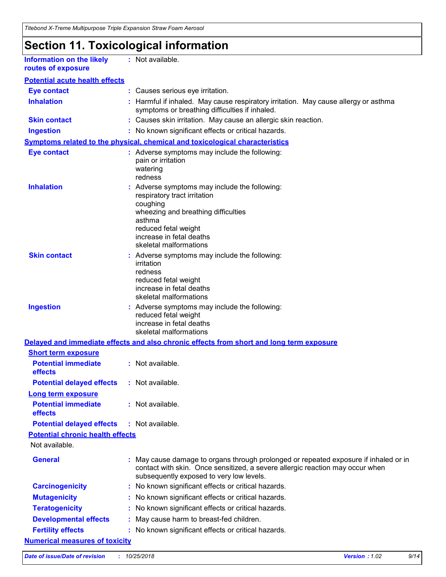## **Section 11. Toxicological information**

**Information on the likely routes of exposure**

**:** Not available.

| <b>Eye contact</b>                                                 |    | : Causes serious eye irritation.                                                                                                                                                                                         |
|--------------------------------------------------------------------|----|--------------------------------------------------------------------------------------------------------------------------------------------------------------------------------------------------------------------------|
| <b>Inhalation</b>                                                  |    | Harmful if inhaled. May cause respiratory irritation. May cause allergy or asthma<br>symptoms or breathing difficulties if inhaled.                                                                                      |
| <b>Skin contact</b>                                                |    | : Causes skin irritation. May cause an allergic skin reaction.                                                                                                                                                           |
| <b>Ingestion</b>                                                   |    | : No known significant effects or critical hazards.                                                                                                                                                                      |
|                                                                    |    | Symptoms related to the physical, chemical and toxicological characteristics                                                                                                                                             |
| <b>Eye contact</b>                                                 |    | : Adverse symptoms may include the following:<br>pain or irritation<br>watering<br>redness                                                                                                                               |
| <b>Inhalation</b>                                                  |    | : Adverse symptoms may include the following:<br>respiratory tract irritation<br>coughing<br>wheezing and breathing difficulties<br>asthma<br>reduced fetal weight<br>increase in fetal deaths<br>skeletal malformations |
| <b>Skin contact</b>                                                |    | : Adverse symptoms may include the following:<br>irritation<br>redness<br>reduced fetal weight<br>increase in fetal deaths<br>skeletal malformations                                                                     |
| <b>Ingestion</b>                                                   |    | : Adverse symptoms may include the following:<br>reduced fetal weight<br>increase in fetal deaths<br>skeletal malformations                                                                                              |
|                                                                    |    | Delayed and immediate effects and also chronic effects from short and long term exposure                                                                                                                                 |
| <b>Short term exposure</b>                                         |    |                                                                                                                                                                                                                          |
| <b>Potential immediate</b><br>effects                              |    | : Not available.                                                                                                                                                                                                         |
| <b>Potential delayed effects</b>                                   |    | : Not available.                                                                                                                                                                                                         |
| Long term exposure<br><b>Potential immediate</b><br><b>effects</b> |    | : Not available.                                                                                                                                                                                                         |
| <b>Potential delayed effects</b>                                   |    | : Not available.                                                                                                                                                                                                         |
| <b>Potential chronic health effects</b>                            |    |                                                                                                                                                                                                                          |
| Not available.                                                     |    |                                                                                                                                                                                                                          |
| <b>General</b>                                                     |    | : May cause damage to organs through prolonged or repeated exposure if inhaled or in<br>contact with skin. Once sensitized, a severe allergic reaction may occur when<br>subsequently exposed to very low levels.        |
| <b>Carcinogenicity</b>                                             | ÷. | No known significant effects or critical hazards.                                                                                                                                                                        |
| <b>Mutagenicity</b>                                                |    | No known significant effects or critical hazards.                                                                                                                                                                        |
| <b>Teratogenicity</b>                                              |    | No known significant effects or critical hazards.                                                                                                                                                                        |
| <b>Developmental effects</b>                                       |    | May cause harm to breast-fed children.                                                                                                                                                                                   |
| <b>Fertility effects</b>                                           |    | No known significant effects or critical hazards.                                                                                                                                                                        |
| <b>Numerical measures of toxicity</b>                              |    |                                                                                                                                                                                                                          |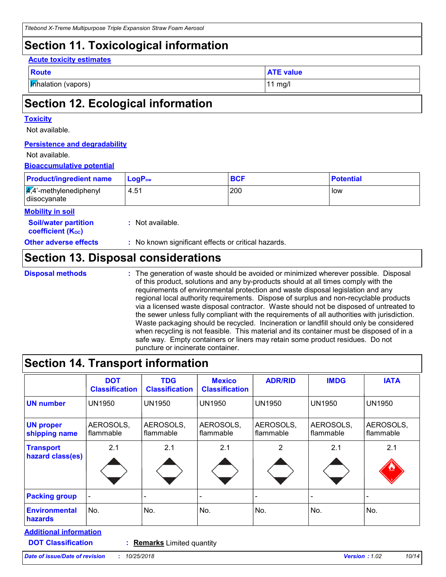### **Section 11. Toxicological information**

#### **Acute toxicity estimates**

| __<br>$\sim$<br>$\sim$ |
|------------------------|
|                        |

**Inhalation (vapors)** 11 mg/l

**ATE value** 

# **Section 12. Ecological information**

#### **Toxicity**

Not available.

#### **Persistence and degradability**

#### Not available.

#### **Bioaccumulative potential**

| <b>Product/ingredient name</b>                             | $LogP_{ow}$      | <b>BCF</b> | <b>Potential</b> |
|------------------------------------------------------------|------------------|------------|------------------|
| $\sqrt{4}$ <sup>2</sup> -methylenediphenyl<br>diisocyanate | 4.51             | 200        | low              |
| <b>Mobility in soil</b>                                    |                  |            |                  |
| <b>Soil/water partition</b><br><b>coefficient (Koc)</b>    | : Not available. |            |                  |

**Other adverse effects** : No known significant effects or critical hazards.

### **Section 13. Disposal considerations**

**Disposal methods :**

The generation of waste should be avoided or minimized wherever possible. Disposal of this product, solutions and any by-products should at all times comply with the requirements of environmental protection and waste disposal legislation and any regional local authority requirements. Dispose of surplus and non-recyclable products via a licensed waste disposal contractor. Waste should not be disposed of untreated to the sewer unless fully compliant with the requirements of all authorities with jurisdiction. Waste packaging should be recycled. Incineration or landfill should only be considered when recycling is not feasible. This material and its container must be disposed of in a safe way. Empty containers or liners may retain some product residues. Do not puncture or incinerate container.

### **Section 14. Transport information**

| <b>DOT</b><br><b>Classification</b> | <b>TDG</b><br><b>Classification</b> | <b>Mexico</b><br><b>Classification</b> | <b>ADR/RID</b>         | <b>IMDG</b>            | <b>IATA</b>            |
|-------------------------------------|-------------------------------------|----------------------------------------|------------------------|------------------------|------------------------|
| <b>UN1950</b>                       | <b>UN1950</b>                       | <b>UN1950</b>                          | <b>UN1950</b>          | <b>UN1950</b>          | <b>UN1950</b>          |
| AEROSOLS,<br>flammable              | AEROSOLS,<br>flammable              | AEROSOLS,<br>flammable                 | AEROSOLS,<br>flammable | AEROSOLS,<br>flammable | AEROSOLS,<br>flammable |
| 2.1                                 | 2.1                                 | 2.1                                    | 2                      | 2.1                    | 2.1                    |
|                                     |                                     |                                        |                        | -                      |                        |
| No.                                 | No.                                 | No.                                    | No.                    | No.                    | No.                    |
|                                     |                                     |                                        |                        |                        |                        |

**DOT Classification :**

**Remarks** Limited quantity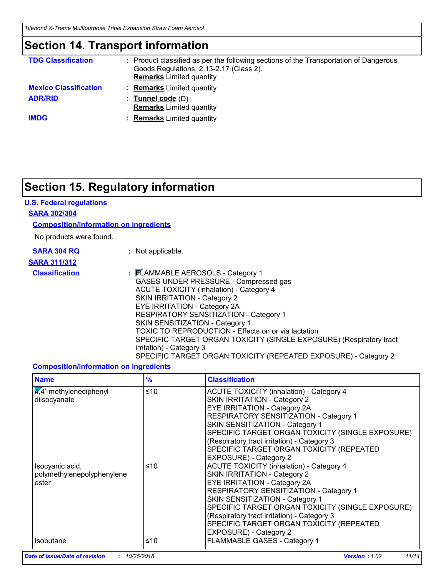*Titebond X-Treme Multipurpose Triple Expansion Straw Foam Aerosol*

### **Section 14. Transport information**

| <b>TDG Classification</b>    | : Product classified as per the following sections of the Transportation of Dangerous<br>Goods Regulations: 2.13-2.17 (Class 2).<br><b>Remarks</b> Limited quantity |
|------------------------------|---------------------------------------------------------------------------------------------------------------------------------------------------------------------|
| <b>Mexico Classification</b> | <b>Remarks</b> Limited quantity                                                                                                                                     |
| <b>ADR/RID</b>               | : Tunnel code $(D)$<br><b>Remarks</b> Limited quantity                                                                                                              |
| <b>IMDG</b>                  | <b>Remarks</b> Limited quantity                                                                                                                                     |

# **Section 15. Regulatory information**

### **U.S. Federal regulations**

#### **SARA 302/304**

#### **Composition/information on ingredients**

No products were found.

| <b>SARA 304 RQ</b> |  |  |
|--------------------|--|--|
|                    |  |  |

**:** Not applicable.

### **SARA 311/312**

**Classification :** FLAMMABLE AEROSOLS - Category 1 GASES UNDER PRESSURE - Compressed gas ACUTE TOXICITY (inhalation) - Category 4 SKIN IRRITATION - Category 2 EYE IRRITATION - Category 2A RESPIRATORY SENSITIZATION - Category 1 SKIN SENSITIZATION - Category 1 TOXIC TO REPRODUCTION - Effects on or via lactation SPECIFIC TARGET ORGAN TOXICITY (SINGLE EXPOSURE) (Respiratory tract irritation) - Category 3 SPECIFIC TARGET ORGAN TOXICITY (REPEATED EXPOSURE) - Category 2

### **Composition/information on ingredients**

| <b>Name</b>                                            | $\frac{9}{6}$ | <b>Classification</b>                                                                                                                                                                                                                                                                                                                                                        |
|--------------------------------------------------------|---------------|------------------------------------------------------------------------------------------------------------------------------------------------------------------------------------------------------------------------------------------------------------------------------------------------------------------------------------------------------------------------------|
| $\frac{4}{4}$ -methylenediphenyl<br>diisocyanate       | ≤10           | <b>ACUTE TOXICITY (inhalation) - Category 4</b><br>SKIN IRRITATION - Category 2<br><b>EYE IRRITATION - Category 2A</b><br>RESPIRATORY SENSITIZATION - Category 1<br>SKIN SENSITIZATION - Category 1<br>SPECIFIC TARGET ORGAN TOXICITY (SINGLE EXPOSURE)<br>(Respiratory tract irritation) - Category 3<br>SPECIFIC TARGET ORGAN TOXICITY (REPEATED<br>EXPOSURE) - Category 2 |
| Isocyanic acid,<br>polymethylenepolyphenylene<br>ester | ≤10           | <b>ACUTE TOXICITY (inhalation) - Category 4</b><br>SKIN IRRITATION - Category 2<br><b>EYE IRRITATION - Category 2A</b><br>RESPIRATORY SENSITIZATION - Category 1<br>SKIN SENSITIZATION - Category 1<br>SPECIFIC TARGET ORGAN TOXICITY (SINGLE EXPOSURE)<br>(Respiratory tract irritation) - Category 3<br>SPECIFIC TARGET ORGAN TOXICITY (REPEATED<br>EXPOSURE) - Category 2 |
| <b>Isobutane</b>                                       | ≤10           | FLAMMABLE GASES - Category 1                                                                                                                                                                                                                                                                                                                                                 |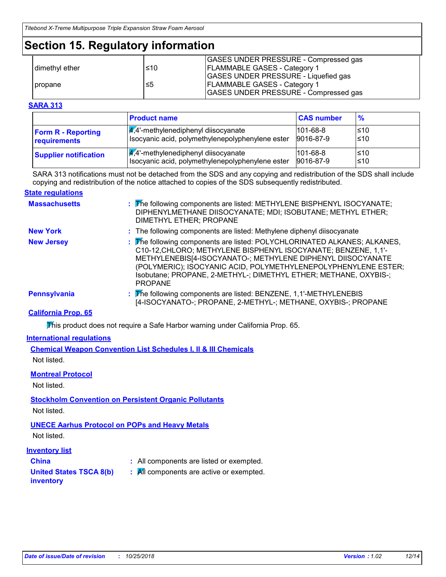### **Section 15. Regulatory information**

|                |     | <b>GASES UNDER PRESSURE - Compressed gas</b> |
|----------------|-----|----------------------------------------------|
| dimethyl ether | ≤10 | <b>FLAMMABLE GASES - Category 1</b>          |
|                |     | GASES UNDER PRESSURE - Liquefied gas         |
| propane        | ≤5  | <b>FLAMMABLE GASES - Category 1</b>          |
|                |     | GASES UNDER PRESSURE - Compressed gas        |

#### **SARA 313**

|                              | <b>Product name</b>                              | <b>CAS number</b> | $\frac{9}{6}$ |
|------------------------------|--------------------------------------------------|-------------------|---------------|
| <b>Form R - Reporting</b>    | $\frac{1}{4}$ ,4'-methylenediphenyl diisocyanate | $101 - 68 - 8$    | l≤10          |
| requirements                 | Isocyanic acid, polymethylenepolyphenylene ester | 9016-87-9         | ≤10           |
| <b>Supplier notification</b> | $\frac{q}{4}$ . methylenediphenyl diisocyanate   | $101 - 68 - 8$    | l≤10          |
|                              | Isocyanic acid, polymethylenepolyphenylene ester | 9016-87-9         | l≤10          |

SARA 313 notifications must not be detached from the SDS and any copying and redistribution of the SDS shall include copying and redistribution of the notice attached to copies of the SDS subsequently redistributed.

#### **State regulations**

| <b>Massachusetts</b> | : The following components are listed: METHYLENE BISPHENYL ISOCYANATE;<br>DIPHENYLMETHANE DIISOCYANATE; MDI; ISOBUTANE; METHYL ETHER;<br>DIMETHYL ETHER; PROPANE                                                                                                                                                                                                  |
|----------------------|-------------------------------------------------------------------------------------------------------------------------------------------------------------------------------------------------------------------------------------------------------------------------------------------------------------------------------------------------------------------|
| <b>New York</b>      | : The following components are listed: Methylene diphenyl diisocyanate                                                                                                                                                                                                                                                                                            |
| <b>New Jersey</b>    | : The following components are listed: POLYCHLORINATED ALKANES; ALKANES,<br>C10-12, CHLORO; METHYLENE BISPHENYL ISOCYANATE; BENZENE, 1,1'-<br>METHYLENEBIS[4-ISOCYANATO-; METHYLENE DIPHENYL DIISOCYANATE<br>(POLYMERIC); ISOCYANIC ACID, POLYMETHYLENEPOLYPHENYLENE ESTER;<br>Isobutane; PROPANE, 2-METHYL-; DIMETHYL ETHER; METHANE, OXYBIS-;<br><b>PROPANE</b> |
| <b>Pennsylvania</b>  | : The following components are listed: BENZENE, 1,1'-METHYLENEBIS<br>[4-ISOCYANATO-; PROPANE, 2-METHYL-; METHANE, OXYBIS-; PROPANE                                                                                                                                                                                                                                |

#### **California Prop. 65**

This product does not require a Safe Harbor warning under California Prop. 65.

#### **International regulations**

**Chemical Weapon Convention List Schedules I, II & III Chemicals** Not listed.

#### **Montreal Protocol**

Not listed.

### **Stockholm Convention on Persistent Organic Pollutants**

Not listed.

### **UNECE Aarhus Protocol on POPs and Heavy Metals**

Not listed.

### **Inventory list**

- 
- **China :** All components are listed or exempted.
- **United States TSCA 8(b)**
- **:** All components are active or exempted.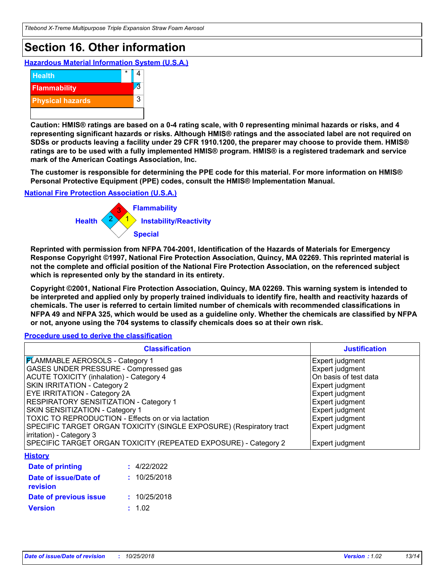# **Section 16. Other information**

**Hazardous Material Information System (U.S.A.)**



**Caution: HMIS® ratings are based on a 0-4 rating scale, with 0 representing minimal hazards or risks, and 4 representing significant hazards or risks. Although HMIS® ratings and the associated label are not required on SDSs or products leaving a facility under 29 CFR 1910.1200, the preparer may choose to provide them. HMIS® ratings are to be used with a fully implemented HMIS® program. HMIS® is a registered trademark and service mark of the American Coatings Association, Inc.**

**The customer is responsible for determining the PPE code for this material. For more information on HMIS® Personal Protective Equipment (PPE) codes, consult the HMIS® Implementation Manual.**

**National Fire Protection Association (U.S.A.)**



**Reprinted with permission from NFPA 704-2001, Identification of the Hazards of Materials for Emergency Response Copyright ©1997, National Fire Protection Association, Quincy, MA 02269. This reprinted material is not the complete and official position of the National Fire Protection Association, on the referenced subject which is represented only by the standard in its entirety.**

**Copyright ©2001, National Fire Protection Association, Quincy, MA 02269. This warning system is intended to be interpreted and applied only by properly trained individuals to identify fire, health and reactivity hazards of chemicals. The user is referred to certain limited number of chemicals with recommended classifications in NFPA 49 and NFPA 325, which would be used as a guideline only. Whether the chemicals are classified by NFPA or not, anyone using the 704 systems to classify chemicals does so at their own risk.**

**Procedure used to derive the classification**

| <b>Classification</b>                                               | <b>Justification</b>  |
|---------------------------------------------------------------------|-----------------------|
| <b>FLAMMABLE AEROSOLS - Category 1</b>                              | Expert judgment       |
| GASES UNDER PRESSURE - Compressed gas                               | Expert judgment       |
| <b>ACUTE TOXICITY (inhalation) - Category 4</b>                     | On basis of test data |
| <b>SKIN IRRITATION - Category 2</b>                                 | Expert judgment       |
| <b>EYE IRRITATION - Category 2A</b>                                 | Expert judgment       |
| RESPIRATORY SENSITIZATION - Category 1                              | Expert judgment       |
| SKIN SENSITIZATION - Category 1                                     | Expert judgment       |
| TOXIC TO REPRODUCTION - Effects on or via lactation                 | Expert judgment       |
| SPECIFIC TARGET ORGAN TOXICITY (SINGLE EXPOSURE) (Respiratory tract | Expert judgment       |
| irritation) - Category 3                                            |                       |
| SPECIFIC TARGET ORGAN TOXICITY (REPEATED EXPOSURE) - Category 2     | Expert judgment       |
| <b>History</b>                                                      |                       |
| : 4/22/2022<br><b>Date of printing</b>                              |                       |
| Date of issue/Date of<br>: 10/25/2018<br>revision                   |                       |